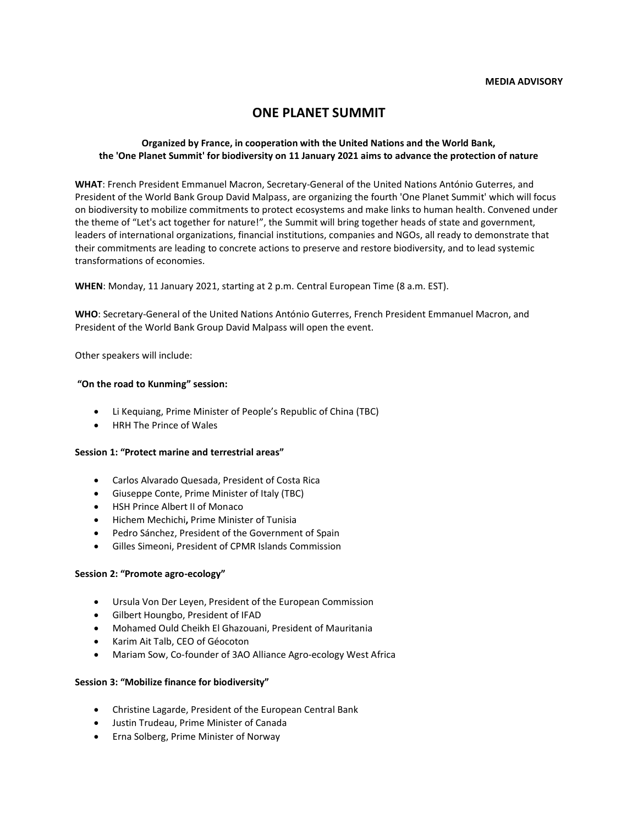# **ONE PLANET SUMMIT**

# **Organized by France, in cooperation with the United Nations and the World Bank, the 'One Planet Summit' for biodiversity on 11 January 2021 aims to advance the protection of nature**

**WHAT**: French President Emmanuel Macron, Secretary-General of the United Nations António Guterres, and President of the World Bank Group David Malpass, are organizing the fourth 'One Planet Summit' which will focus on biodiversity to mobilize commitments to protect ecosystems and make links to human health. Convened under the theme of "Let's act together for nature!", the Summit will bring together heads of state and government, leaders of international organizations, financial institutions, companies and NGOs, all ready to demonstrate that their commitments are leading to concrete actions to preserve and restore biodiversity, and to lead systemic transformations of economies.

**WHEN**: Monday, 11 January 2021, starting at 2 p.m. Central European Time (8 a.m. EST).

**WHO**: Secretary-General of the United Nations António Guterres, French President Emmanuel Macron, and President of the World Bank Group David Malpass will open the event.

Other speakers will include:

## **"On the road to Kunming" session:**

- Li Kequiang, Prime Minister of People's Republic of China (TBC)
- HRH The Prince of Wales

## **Session 1: "Protect marine and terrestrial areas"**

- Carlos Alvarado Quesada, President of Costa Rica
- Giuseppe Conte, Prime Minister of Italy (TBC)
- HSH Prince Albert II of Monaco
- Hichem Mechichi**,** Prime Minister of Tunisia
- Pedro Sánchez, President of the Government of Spain
- Gilles Simeoni, President of CPMR Islands Commission

#### **Session 2: "Promote agro-ecology"**

- Ursula Von Der Leyen, President of the European Commission
- Gilbert Houngbo, President of IFAD
- Mohamed Ould Cheikh El Ghazouani, President of Mauritania
- Karim Ait Talb, CEO of Géocoton
- Mariam Sow, Co-founder of 3AO Alliance Agro-ecology West Africa

## **Session 3: "Mobilize finance for biodiversity"**

- Christine Lagarde, President of the European Central Bank
- Justin Trudeau, Prime Minister of Canada
- Erna Solberg, Prime Minister of Norway